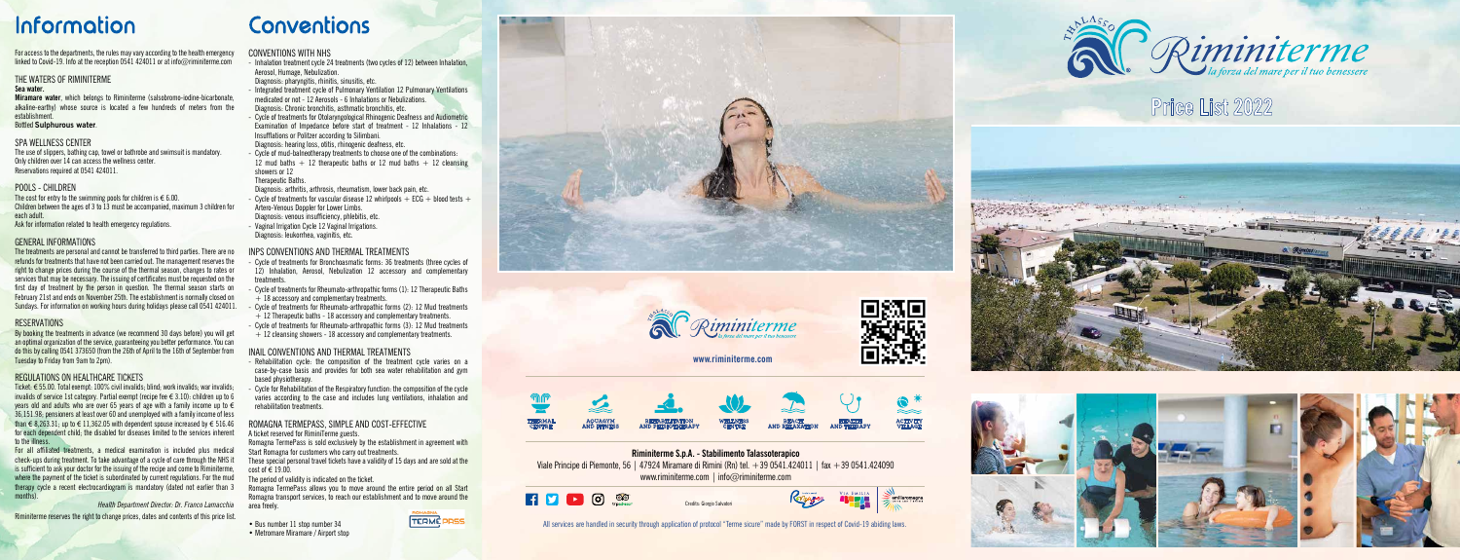## **Price List 2022**





Credits: Giorgio Salvatori



# **Information**

For access to the departments, the rules may vary according to the health emergency linked to Covid-19. Info at the reception 0541 424011 or at info@riminiterme.com

All services are handled in security through application of protocol "Terme sicure" made by FORST in respect of Covid-19 abiding laws.





**Miramare water**, which belongs to Riminiterme (salsobromo-iodine-bicarbonate, alkaline-earthy) whose source is located a few hundreds of meters from the establishment.

### THE WATERS OF RIMINITERME

#### **Sea water.**

The cost for entry to the swimming pools for children is  $\in$  6.00. Children between the ages of 3 to 13 must be accompanied, maximum 3 children for each adult.

### Bottled **Sulphurous water** .

### SPA WELLNESS CENTER

The use of slippers, bathing cap, towel or bathrobe and swimsuit is mandatory. Only children over 14 can access the wellness center. Reservations required at 0541 424011.

### POOLS - CHILDREN

Ask for information related to health emergency regulations.

### GENERAL INFORMATIONS

The treatments are personal and cannot be transferred to third parties. There are no refunds for treatments that have not been carried out. The management reserves the right to change prices during the course of the thermal season, changes to rates or services that may be necessary. The issuing of certificates must be requested on the first day of treatment by the person in question. The thermal season starts on February 21st and ends on November 25th. The establishment is normally closed on Sundays. For information on working hours during holidays please call 0541 424011.

### **RESERVATIONS**

By booking the treatments in advance (we recommend 30 days before) you will get an optimal organization of the service, guaranteeing you better performance. You can do this by calling 0541 373650 (from the 26th of April to the 16th of September from Tuesday to Friday from 9am to 2pm).

### REGULATIONS ON HEALTHCARE TICKETS

- Cycle of treatments for vascular disease 12 whirlpools  $+$  ECG  $+$  blood tests  $+$ Artero-Venous Doppler for Lower Limbs.
- Diagnosis: venous insufficiency, phlebitis, etc. - Vaginal Irrigation Cycle 12 Vaginal Irrigations.
- Diagnosis: leukorrhea, vaginitis, etc.

- Cycle of treatments for Bronchoasmatic forms: 36 treatments (three cycles of 12) Inhalation, Aerosol, Nebulization 12 accessory and complementary treatments.
- Cycle of treatments for Rheumato-arthropathic forms (1): 12 Therapeutic Baths  $+ 18$  accessory and complementary treatments.
- Cycle of treatments for Rheumato-arthropathic forms (2): 12 Mud treatments  $+$  12 Therapeutic baths - 18 accessory and complementary treatments.
- Cycle of treatments for Rheumato-arthropathic forms (3): 12 Mud treatments  $+$  12 cleansing showers - 18 accessory and complementary treatments.

Ticket: € 55.00. Total exempt: 100% civil invalids; blind; work invalids; war invalids; invalids of service 1st category. Partial exempt (recipe fee € 3.10): children up to 6 years old and adults who are over 65 years of age with a family income up to € 36,151.98; pensioners at least over 60 and unemployed with a family income of less than € 8,263.31; up to € 11,362.05 with dependent spouse increased by € 516.46 for each dependent child; the disabled for diseases limited to the services inherent to the illness.

- Rehabilitation cycle: the composition of the treatment cycle varies on a case-by-case basis and provides for both sea water rehabilitation and gym based physiotherapy.
- Cycle for Rehabilitation of the Respiratory function: the composition of the cycle varies according to the case and includes lung ventilations, inhalation and rehabilitation treatments.

For all affiliated treatments, a medical examination is included plus medical check-ups during treatment. To take advantage of a cycle of care through the NHS it is sufficient to ask your doctor for the issuing of the recipe and come to Riminiterme, where the payment of the ticket is subordinated by current regulations. For the mud therapy cycle a recent electrocardiogram is mandatory (dated not earlier than 3 months).

- Bus number 11 stop number 34
- Metromare Miramare / Airport stop





**Riminiterme S.p.A. - Stabilimento Talassoterapico** Viale Principe di Piemonte, 56 | 47924 Miramare di Rimini (Rn) tel.  $+390541.424011$  | fax  $+390541.424090$ www.riminiterme.com | info@riminiterme.com



*Health Department Director: Dr. Franco Lamacchia*

Riminiterme reserves the right to change prices, dates and contents of this price list.

# Conventions

### CONVENTIONS WITH NHS

- Inhalation treatment cycle 24 treatments (two cycles of 12) between Inhalation, Aerosol, Humage, Nebulization.
- Diagnosis: pharyngitis, rhinitis, sinusitis, etc.
- Integrated treatment cycle of Pulmonary Ventilation 12 Pulmonary Ventilations medicated or not - 12 Aerosols - 6 Inhalations or Nebulizations. Diagnosis: Chronic bronchitis, asthmatic bronchitis, etc.
- Cycle of treatments for Otolaryngological Rhinogenic Deafness and Audiometric Examination of Impedance before start of treatment - 12 Inhalations - 12 Insufflations or Politzer according to Silimbani.
- Diagnosis: hearing loss, otitis, rhinogenic deafness, etc.
- Cycle of mud-balneotherapy treatments to choose one of the combinations: 12 mud baths  $+$  12 therapeutic baths or 12 mud baths  $+$  12 cleansing showers or 12
- Therapeutic Baths.

Diagnosis: arthritis, arthrosis, rheumatism, lower back pain, etc.

### INPS CONVENTIONS AND THERMAL TREATMENTS

### INAIL CONVENTIONS AND THERMAL TREATMENTS

### ROMAGNA TERMEPASS, SIMPLE AND COST-EFFECTIVE

A ticket reserved for RiminiTerme guests.

Romagna TermePass is sold exclusively by the establishment in agreement with Start Romagna for customers who carry out treatments.

These special personal travel tickets have a validity of 15 days and are sold at the cost of € 19.00.

The period of validity is indicated on the ticket.

Romagna TermePass allows you to move around the entire period on all Start Romagna transport services, to reach our establishment and to move around the area freely.

### **www.riminiterme.com**